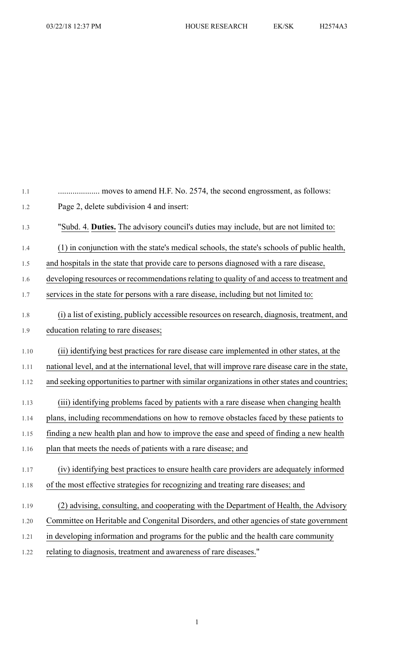| 1.1  |                                                                                                   |
|------|---------------------------------------------------------------------------------------------------|
| 1.2  | Page 2, delete subdivision 4 and insert:                                                          |
| 1.3  | "Subd. 4. Duties. The advisory council's duties may include, but are not limited to:              |
| 1.4  | (1) in conjunction with the state's medical schools, the state's schools of public health,        |
| 1.5  | and hospitals in the state that provide care to persons diagnosed with a rare disease,            |
| 1.6  | developing resources or recommendations relating to quality of and access to treatment and        |
| 1.7  | services in the state for persons with a rare disease, including but not limited to:              |
| 1.8  | (i) a list of existing, publicly accessible resources on research, diagnosis, treatment, and      |
| 1.9  | education relating to rare diseases;                                                              |
| 1.10 | (ii) identifying best practices for rare disease care implemented in other states, at the         |
| 1.11 | national level, and at the international level, that will improve rare disease care in the state, |
| 1.12 | and seeking opportunities to partner with similar organizations in other states and countries;    |
| 1.13 | (iii) identifying problems faced by patients with a rare disease when changing health             |
| 1.14 | plans, including recommendations on how to remove obstacles faced by these patients to            |
| 1.15 | finding a new health plan and how to improve the ease and speed of finding a new health           |
| 1.16 | plan that meets the needs of patients with a rare disease; and                                    |
| 1.17 | (iv) identifying best practices to ensure health care providers are adequately informed           |
| 1.18 | of the most effective strategies for recognizing and treating rare diseases; and                  |
| 1.19 | (2) advising, consulting, and cooperating with the Department of Health, the Advisory             |
| 1.20 | Committee on Heritable and Congenital Disorders, and other agencies of state government           |
| 1.21 | in developing information and programs for the public and the health care community               |
| 1.22 | relating to diagnosis, treatment and awareness of rare diseases."                                 |